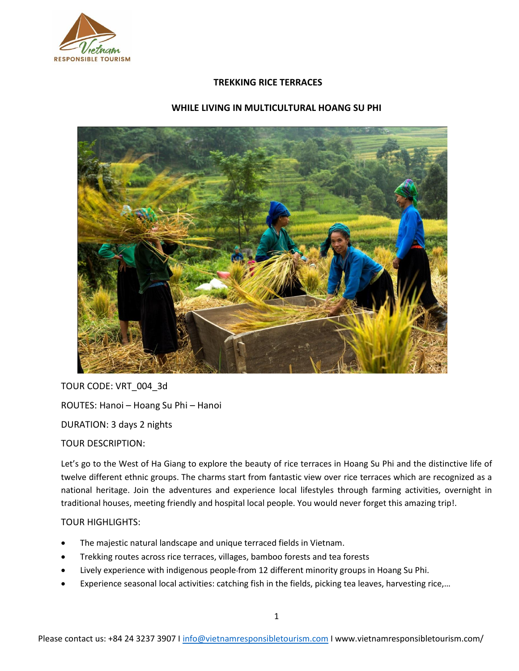

## **TREKKING RICE TERRACES**

# **WHILE LIVING IN MULTICULTURAL HOANG SU PHI**



TOUR CODE: VRT\_004\_3d

ROUTES: Hanoi – Hoang Su Phi – Hanoi

DURATION: 3 days 2 nights

TOUR DESCRIPTION:

Let's go to the West of Ha Giang to explore the beauty of rice terraces in Hoang Su Phi and the distinctive life of twelve different ethnic groups. The charms start from fantastic view over rice terraces which are recognized as a national heritage. Join the adventures and experience local lifestyles through farming activities, overnight in traditional houses, meeting friendly and hospital local people. You would never forget this amazing trip!.

# TOUR HIGHLIGHTS:

- The majestic natural landscape and unique terraced fields in Vietnam.
- Trekking routes across rice terraces, villages, bamboo forests and tea forests
- Lively experience with indigenous people from 12 different minority groups in Hoang Su Phi.
- Experience seasonal local activities: catching fish in the fields, picking tea leaves, harvesting rice,...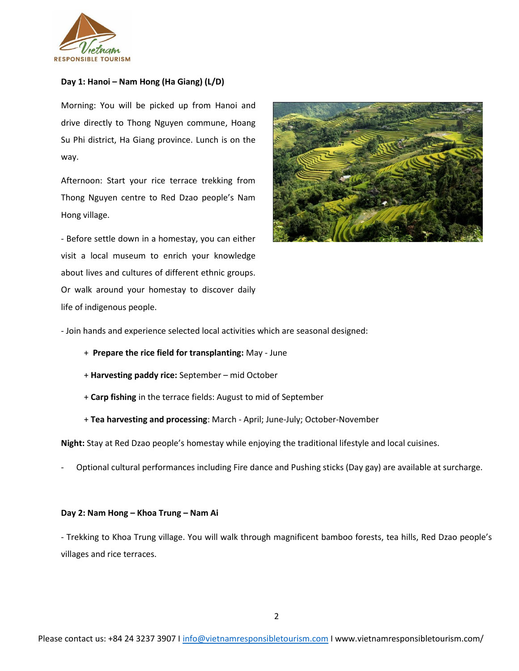

### **Day 1: Hanoi – Nam Hong (Ha Giang) (L/D)**

Morning: You will be picked up from Hanoi and drive directly to Thong Nguyen commune, Hoang Su Phi district, Ha Giang province. Lunch is on the way.

Afternoon: Start your rice terrace trekking from Thong Nguyen centre to Red Dzao people's Nam Hong village.

- Before settle down in a homestay, you can either visit a local museum to enrich your knowledge about lives and cultures of different ethnic groups. Or walk around your homestay to discover daily life of indigenous people.



- Join hands and experience selected local activities which are seasonal designed:

- + **Prepare the rice field for transplanting:** May June
- + **Harvesting paddy rice:** September mid October
- + **Carp fishing** in the terrace fields: August to mid of September
- + **Tea harvesting and processing**: March April; June-July; October-November

**Night:** Stay at Red Dzao people's homestay while enjoying the traditional lifestyle and local cuisines.

- Optional cultural performances including Fire dance and Pushing sticks (Day gay) are available at surcharge.

#### **Day 2: Nam Hong – Khoa Trung – Nam Ai**

- Trekking to Khoa Trung village. You will walk through magnificent bamboo forests, tea hills, Red Dzao people's villages and rice terraces.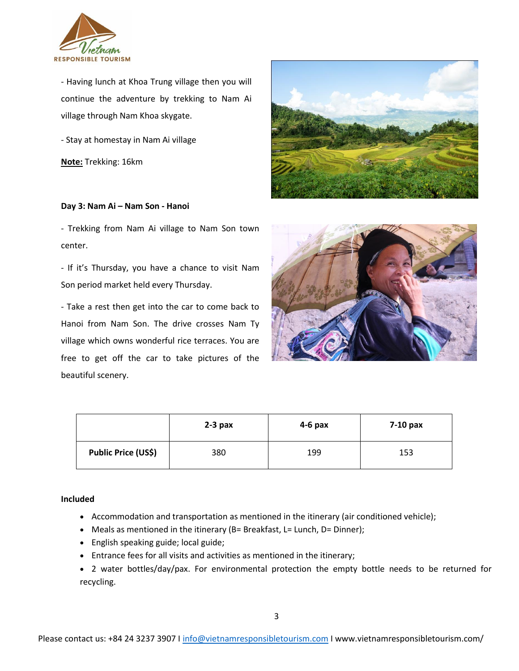

- Having lunch at Khoa Trung village then you will continue the adventure by trekking to Nam Ai village through Nam Khoa skygate.

- Stay at homestay in Nam Ai village

**Note:** Trekking: 16km

### **Day 3: Nam Ai – Nam Son - Hanoi**

- Trekking from Nam Ai village to Nam Son town center.

- If it's Thursday, you have a chance to visit Nam Son period market held every Thursday.

- Take a rest then get into the car to come back to Hanoi from Nam Son. The drive crosses Nam Ty village which owns wonderful rice terraces. You are free to get off the car to take pictures of the beautiful scenery.





|                            | $2-3$ pax | $4-6$ pax | $7-10$ pax |
|----------------------------|-----------|-----------|------------|
| <b>Public Price (US\$)</b> | 380       | 199       | 153        |

## **Included**

- Accommodation and transportation as mentioned in the itinerary (air conditioned vehicle);
- Meals as mentioned in the itinerary (B= Breakfast, L= Lunch, D= Dinner);
- English speaking guide; local guide;
- Entrance fees for all visits and activities as mentioned in the itinerary;
- 2 water bottles/day/pax. For environmental protection the empty bottle needs to be returned for recycling.